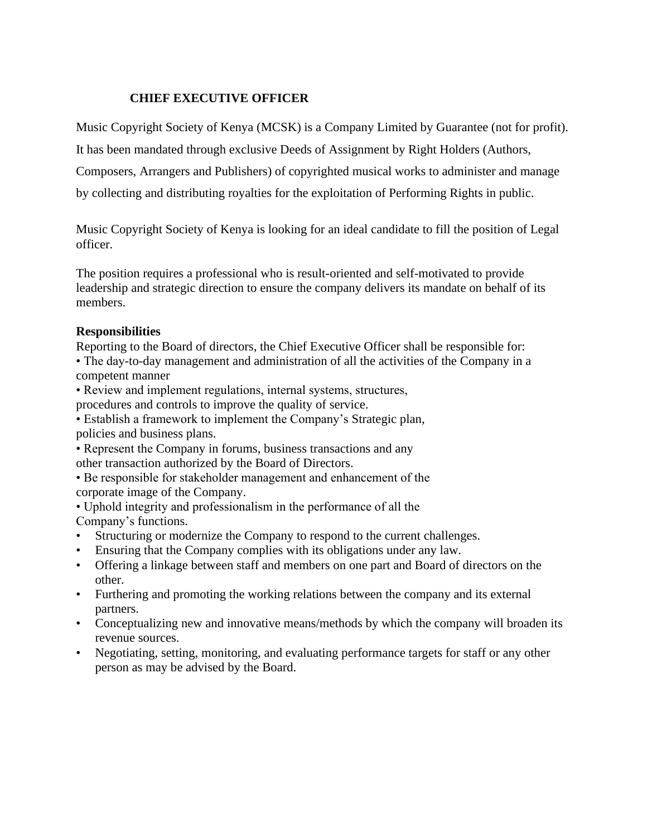### **CHIEF EXECUTIVE OFFICER**

Music Copyright Society of Kenya (MCSK) is a Company Limited by Guarantee (not for profit).

It has been mandated through exclusive Deeds of Assignment by Right Holders (Authors,

Composers, Arrangers and Publishers) of copyrighted musical works to administer and manage

by collecting and distributing royalties for the exploitation of Performing Rights in public.

Music Copyright Society of Kenya is looking for an ideal candidate to fill the position of Legal officer.

The position requires a professional who is result-oriented and self-motivated to provide leadership and strategic direction to ensure the company delivers its mandate on behalf of its members.

#### **Responsibilities**

Reporting to the Board of directors, the Chief Executive Officer shall be responsible for:

• The day-to-day management and administration of all the activities of the Company in a competent manner

• Review and implement regulations, internal systems, structures,

procedures and controls to improve the quality of service.

• Establish a framework to implement the Company's Strategic plan, policies and business plans.

• Represent the Company in forums, business transactions and any other transaction authorized by the Board of Directors.

• Be responsible for stakeholder management and enhancement of the corporate image of the Company.

• Uphold integrity and professionalism in the performance of all the Company's functions.

- Structuring or modernize the Company to respond to the current challenges.
- Ensuring that the Company complies with its obligations under any law.
- Offering a linkage between staff and members on one part and Board of directors on the other.
- Furthering and promoting the working relations between the company and its external partners.
- Conceptualizing new and innovative means/methods by which the company will broaden its revenue sources.
- Negotiating, setting, monitoring, and evaluating performance targets for staff or any other person as may be advised by the Board.